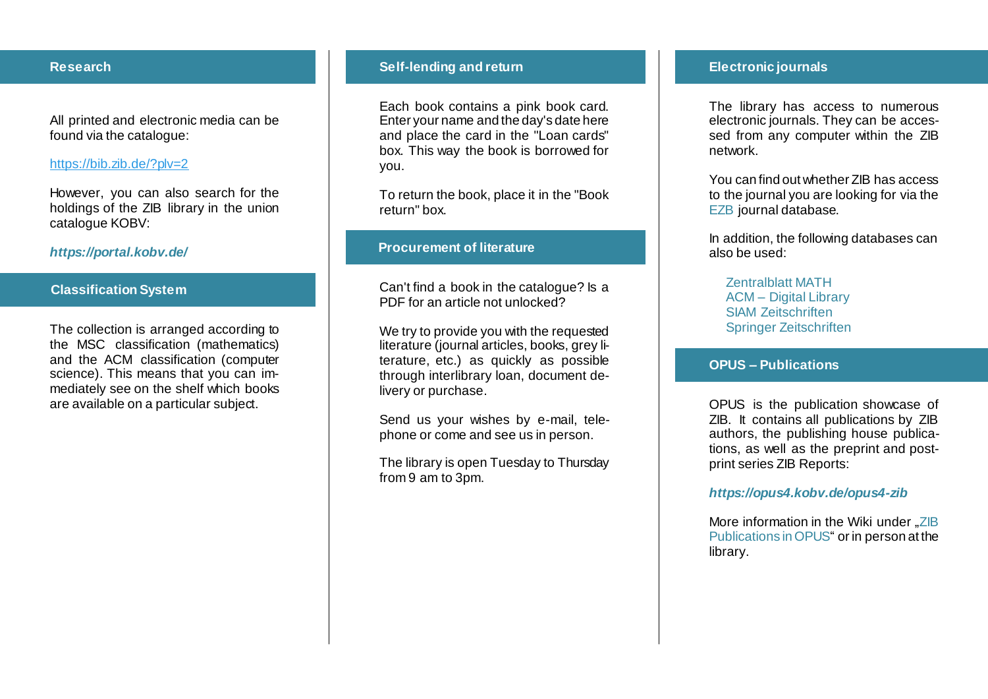## **Research**

All printed and electronic media can be found via the catalogue:

### <https://bib.zib.de/?plv=2>

However, you can also search for the holdings of the ZIB library in the union catalogue KOBV :

## *<https://portal.kobv.de/>*

# **Classification System**

The collection is arranged according to the MSC classification (mathematics) and the ACM classification (computer science). This means that you can immediately see on the shelf which books are available on a particular subject.

#### **Self -lending and return**

Each book contains a pink book card. Enter your name and the day's date here and place the card in the "Loan cards" box. This way the book is borrowed for you.

To return the book, place it in the "Book return" box.

## **Procurement of literature**

Can't find a book in the catalogue? Is a PDF for an article not unlocked?

We try to provide you with the requested literature (journal articles, books, grey literature, etc.) as quickly as possible through interlibrary loan, document delivery or purchase.

Send us your wishes by e -mail, telephone or come and see us in person.

The library is open Tuesday to Thursday from 9 am to 3pm.

## **Electronic journals**

The library has access to numerous electronic journals. They can be accessed from any computer within the ZIB network.

You can find out whether ZIB has access to the journal you are looking for via the [EZB](http://rzblx1.uni-regensburg.de/ezeit/search.phtml?bibid=ZUSE&colors=7&lang=en) journal database.

In addition, the following databases can also be used:

[Zentralblatt MATH](https://www.zbmath.org/) ACM – [Digital Library](http://dl.acm.org/dl.cfm) [SIAM Zeitschriften](http://epubs.siam.org/) [Springer Zeitschriften](http://link.springer.com/)

#### **OPUS – Publications**

OPUS is the publication showcase of ZIB. It contains all publications by ZIB authors, the publishing house publications, as well as the preprint and postprint series ZIB Reports:

#### *[https://opus4.kobv.de/opus4](https://opus4.kobv.de/opus4-zib) -zib*

More information in the Wiki under "ZIB [Publications in OPUS"](https://wiki.zib.de/confluence/display/ZIBPUBOPUS/ZIB+Publications+in+OPUS) or in person at the library.